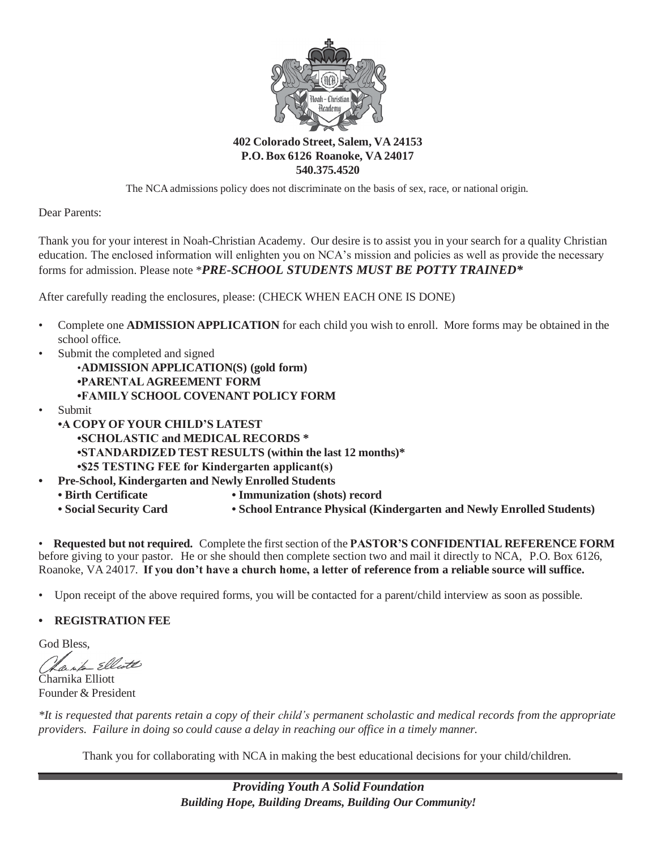

#### **402 Colorado Street, Salem, VA 24153 P.O. Box 6126 Roanoke, VA 24017 540.375.4520**

The NCA admissions policy does not discriminate on the basis of sex, race, or national origin.

Dear Parents:

Thank you for your interest in Noah-Christian Academy. Our desire is to assist you in your search for a quality Christian education. The enclosed information will enlighten you on NCA's mission and policies as well as provide the necessary forms for admission. Please note \**PRE-SCHOOL STUDENTS MUST BE POTTY TRAINED\**

After carefully reading the enclosures, please: (CHECK WHEN EACH ONE IS DONE)

- Complete one **ADMISSION APPLICATION** for each child you wish to enroll. More forms may be obtained in the school office.
- Submit the completed and signed •
	- •**ADMISSION APPLICATION(S) (gold form) •PARENTAL AGREEMENT FORM •FAMILY SCHOOL COVENANT POLICY FORM**
- Submit •
	- **•A COPY OF YOUR CHILD'S LATEST •SCHOLASTIC and MEDICAL RECORDS \* •STANDARDIZED TEST RESULTS (within the last 12 months)\* •\$25 TESTING FEE for Kindergarten applicant(s)**
- **Pre-School, Kindergarten and Newly Enrolled Students •**
	- **• Birth Certificate**
- **• Immunization (shots) record**
- **• Social Security Card**
- 
- **• School Entrance Physical (Kindergarten and Newly Enrolled Students)**

• **Requested but not required.** Complete the firstsection of the **PASTOR'S CONFIDENTIAL REFERENCE FORM** before giving to your pastor. He or she should then complete section two and mail it directly to NCA, P.O. Box 6126, Roanoke, VA 24017. **If you don't have a church home, a letter of reference from a reliable source will suffice.**

• Upon receipt of the above required forms, you will be contacted for a parent/child interview as soon as possible.

#### **• REGISTRATION FEE**

God Bless,

anto Elliott

Charnika Elliott Founder & President

\*It is requested that parents retain a copy of their child's permanent scholastic and medical records from the appropriate *providers. Failure in doing so could cause a delay in reaching our office in a timely manner.*

Thank you for collaborating with NCA in making the best educational decisions for your child/children.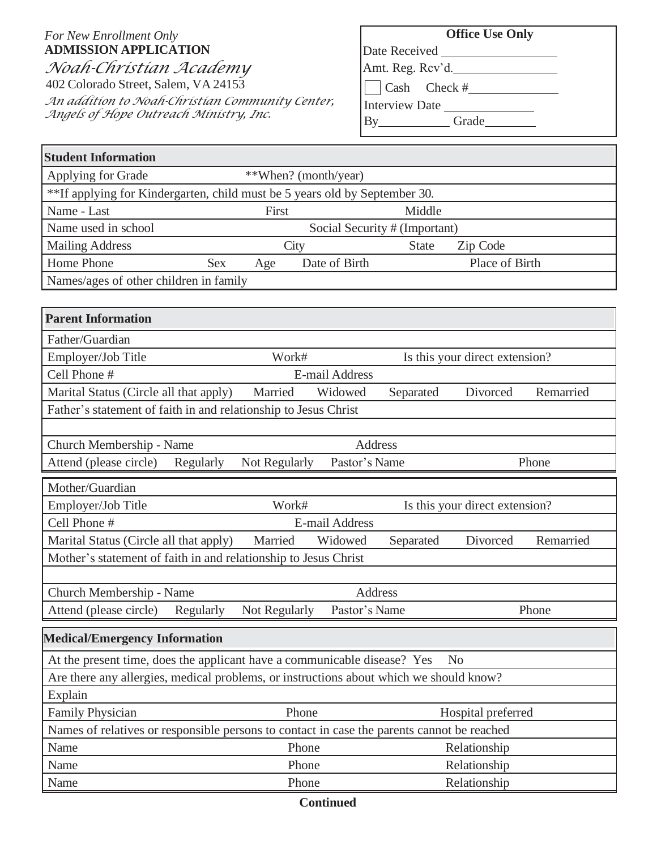## *For New Enrollment Only* **ADMISSION APPLICATION** *Noah-Christian Academy* 402 Colorado Street, Salem, VA 24153

*An addition to Noah-Christian Community Center, Angels of Hope Outreach Ministry, Inc.*

# **Office Use Only**

Date Received

Amt. Reg. Rcv'd.

Cash Check #

Interview Date

By\_\_\_\_\_\_\_\_\_\_\_\_Grade\_\_\_\_\_\_\_\_\_\_

| <b>Student Information</b>                                                                 |            |                      |                       |                               |                                |           |
|--------------------------------------------------------------------------------------------|------------|----------------------|-----------------------|-------------------------------|--------------------------------|-----------|
| Applying for Grade                                                                         |            | **When? (month/year) |                       |                               |                                |           |
| **If applying for Kindergarten, child must be 5 years old by September 30.                 |            |                      |                       |                               |                                |           |
| Name - Last<br>Middle<br>First                                                             |            |                      |                       |                               |                                |           |
| Name used in school                                                                        |            |                      |                       | Social Security # (Important) |                                |           |
| <b>Mailing Address</b>                                                                     |            | City                 |                       | <b>State</b>                  | Zip Code                       |           |
| Home Phone                                                                                 | <b>Sex</b> | Age                  | Date of Birth         |                               | Place of Birth                 |           |
| Names/ages of other children in family                                                     |            |                      |                       |                               |                                |           |
|                                                                                            |            |                      |                       |                               |                                |           |
| <b>Parent Information</b>                                                                  |            |                      |                       |                               |                                |           |
| Father/Guardian                                                                            |            |                      |                       |                               |                                |           |
| Employer/Job Title                                                                         |            | Work#                |                       |                               | Is this your direct extension? |           |
| Cell Phone #                                                                               |            |                      | <b>E-mail Address</b> |                               |                                |           |
| Marital Status (Circle all that apply)                                                     |            | Married              | Widowed               | Separated                     | Divorced                       | Remarried |
| Father's statement of faith in and relationship to Jesus Christ                            |            |                      |                       |                               |                                |           |
|                                                                                            |            |                      |                       |                               |                                |           |
| Church Membership - Name                                                                   |            |                      | <b>Address</b>        |                               |                                |           |
|                                                                                            | Regularly  | Not Regularly        | Pastor's Name         |                               |                                | Phone     |
| Attend (please circle)                                                                     |            |                      |                       |                               |                                |           |
| Mother/Guardian                                                                            |            |                      |                       |                               |                                |           |
| Employer/Job Title                                                                         |            | Work#                |                       |                               | Is this your direct extension? |           |
| Cell Phone #                                                                               |            |                      | E-mail Address        |                               |                                |           |
| Marital Status (Circle all that apply)                                                     |            | Married              | Widowed               | Separated                     | Divorced                       | Remarried |
| Mother's statement of faith in and relationship to Jesus Christ                            |            |                      |                       |                               |                                |           |
|                                                                                            |            |                      |                       |                               |                                |           |
| Church Membership - Name                                                                   |            |                      | Address               |                               |                                |           |
| Attend (please circle)                                                                     | Regularly  | Not Regularly        | Pastor's Name         |                               |                                | Phone     |
| <b>Medical/Emergency Information</b>                                                       |            |                      |                       |                               |                                |           |
| At the present time, does the applicant have a communicable disease? Yes                   |            |                      |                       |                               | N <sub>o</sub>                 |           |
| Are there any allergies, medical problems, or instructions about which we should know?     |            |                      |                       |                               |                                |           |
| Explain                                                                                    |            |                      |                       |                               |                                |           |
| Family Physician                                                                           |            | Phone                |                       |                               | Hospital preferred             |           |
| Names of relatives or responsible persons to contact in case the parents cannot be reached |            |                      |                       |                               |                                |           |
| Name                                                                                       |            | Phone                |                       |                               | Relationship                   |           |
| Name                                                                                       |            | Phone<br>Phone       |                       |                               | Relationship<br>Relationship   |           |

#### **Continued**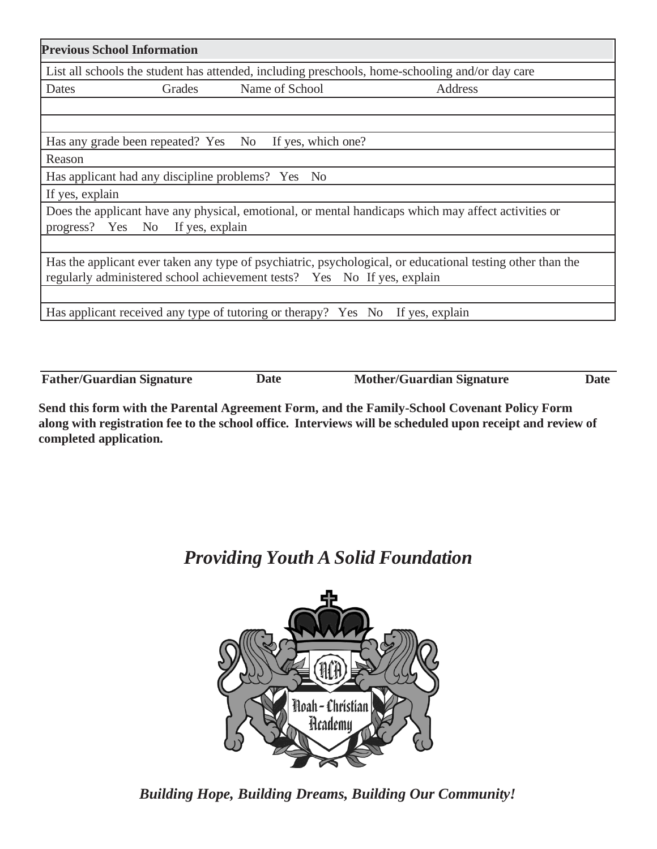|                 | <b>Previous School Information</b>                |                                                                                |                                                                                                            |
|-----------------|---------------------------------------------------|--------------------------------------------------------------------------------|------------------------------------------------------------------------------------------------------------|
|                 |                                                   |                                                                                | List all schools the student has attended, including preschools, home-schooling and/or day care            |
| Dates           | Grades                                            | Name of School                                                                 | Address                                                                                                    |
|                 |                                                   |                                                                                |                                                                                                            |
|                 |                                                   | Has any grade been repeated? Yes No If yes, which one?                         |                                                                                                            |
| Reason          |                                                   |                                                                                |                                                                                                            |
|                 | Has applicant had any discipline problems? Yes No |                                                                                |                                                                                                            |
| If yes, explain |                                                   |                                                                                |                                                                                                            |
|                 | progress? Yes No If yes, explain                  |                                                                                | Does the applicant have any physical, emotional, or mental handicaps which may affect activities or        |
|                 |                                                   |                                                                                |                                                                                                            |
|                 |                                                   | regularly administered school achievement tests? Yes No If yes, explain        | Has the applicant ever taken any type of psychiatric, psychological, or educational testing other than the |
|                 |                                                   |                                                                                |                                                                                                            |
|                 |                                                   | Has applicant received any type of tutoring or therapy? Yes No If yes, explain |                                                                                                            |
|                 |                                                   |                                                                                |                                                                                                            |

**Father/Guardian Signature Date Mother/Guardian Signature Date**

**Send this form with the Parental Agreement Form, and the Family-School Covenant Policy Form**  along with registration fee to the school office. Interviews will be scheduled upon receipt and review of **completed application.**

# *Providing Youth A Solid Foundation*



*Building Hope, Building Dreams, Building Our Community!*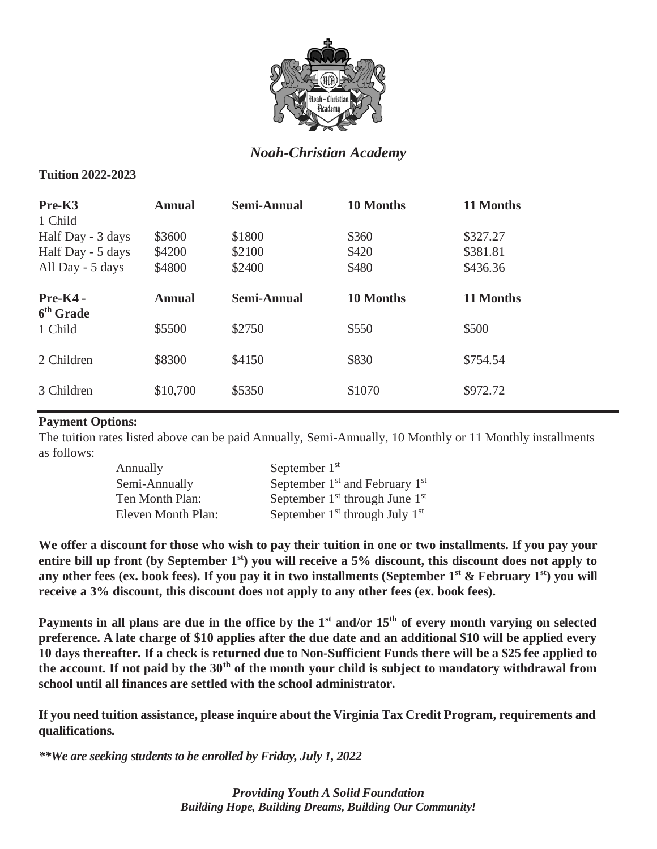

# *Noah-Christian Academy*

#### **Tuition 2022-2023**

| Pre-K3<br>1 Child                     | <b>Annual</b>    | <b>Semi-Annual</b> | 10 Months      | 11 Months            |
|---------------------------------------|------------------|--------------------|----------------|----------------------|
| Half Day - 3 days                     | \$3600           | \$1800             | \$360          | \$327.27             |
| Half Day - 5 days<br>All Day - 5 days | \$4200<br>\$4800 | \$2100<br>\$2400   | \$420<br>\$480 | \$381.81<br>\$436.36 |
| $Pre-K4$ -<br>6 <sup>th</sup> Grade   | <b>Annual</b>    | <b>Semi-Annual</b> | 10 Months      | 11 Months            |
| 1 Child                               | \$5500           | \$2750             | \$550          | \$500                |
| 2 Children                            | \$8300           | \$4150             | \$830          | \$754.54             |
| 3 Children                            | \$10,700         | \$5350             | \$1070         | \$972.72             |

## **Payment Options:**

The tuition rates listed above can be paid Annually, Semi-Annually, 10 Monthly or 11 Monthly installments as follows:

| Annually           | September $1st$                    |
|--------------------|------------------------------------|
| Semi-Annually      | September $1st$ and February $1st$ |
| Ten Month Plan:    | September $1st$ through June $1st$ |
| Eleven Month Plan: | September $1st$ through July $1st$ |

**We offer a discount for those who wish to pay their tuition in one or two installments. If you pay your entire bill up front (by September 1st) you will receive a 5% discount, this discount does not apply to**  any other fees (ex. book fees). If you pay it in two installments (September 1<sup>st</sup> & February 1<sup>st</sup>) you will **receive a 3% discount, this discount does not apply to any other fees (ex. book fees).**

**Payments in all plans are due in the office by the 1st and/or 15th of every month varying on selected preference. A late charge of \$10 applies after the due date and an additional \$10 will be applied every**  10 days thereafter. If a check is returned due to Non-Sufficient Funds there will be a \$25 fee applied to **the account. If not paid by the 30th of the month your child is subject to mandatory withdrawal from school until all finances are settled with the school administrator.**

**If you need tuition assistance, please inquire about the Virginia Tax Credit Program, requirements and qualifications.**

*\*\*We are seeking students to be enrolled by Friday, July 1, 2022*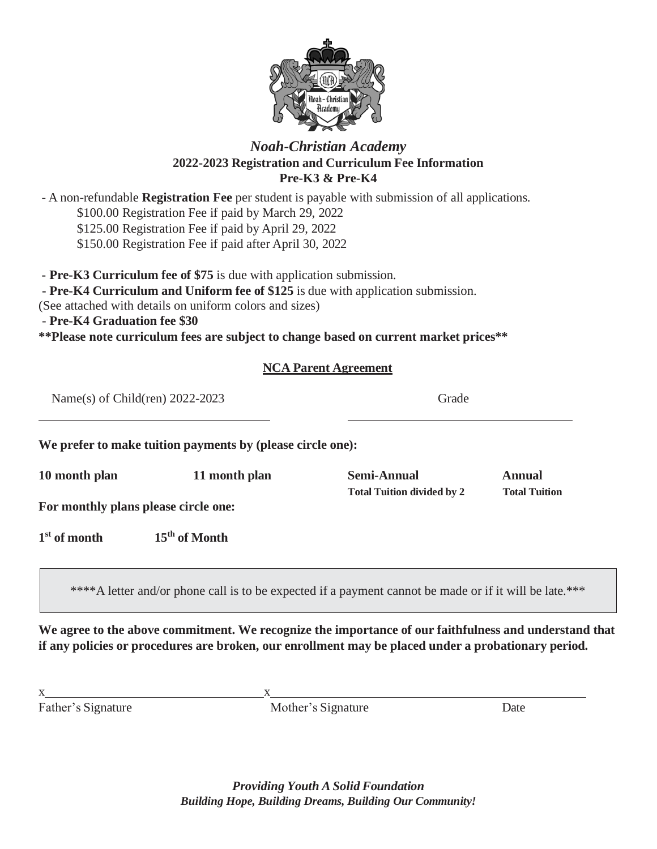

## *Noah-Christian Academy* **2022-2023 Registration and Curriculum Fee Information Pre-K3 & Pre-K4**

- A non-refundable **Registration Fee** per student is payable with submission of all applications.

\$100.00 Registration Fee if paid by March 29, 2022

\$125.00 Registration Fee if paid by April 29, 2022

\$150.00 Registration Fee if paid after April 30, 2022

**- Pre-K3 Curriculum fee of \$75** is due with application submission.

**- Pre-K4 Curriculum and Uniform fee of \$125** is due with application submission.

(See attached with details on uniform colors and sizes)

- **Pre-K4 Graduation fee \$30**

**\*\*Please note curriculum fees are subject to change based on current market prices\*\***

## **NCA Parent Agreement**

| Name(s) of Child(ren) $2022-2023$    |                                                            | Grade                                                                                                  |                                       |  |
|--------------------------------------|------------------------------------------------------------|--------------------------------------------------------------------------------------------------------|---------------------------------------|--|
|                                      | We prefer to make tuition payments by (please circle one): |                                                                                                        |                                       |  |
| 10 month plan                        | 11 month plan                                              | <b>Semi-Annual</b><br><b>Total Tuition divided by 2</b>                                                | <b>Annual</b><br><b>Total Tuition</b> |  |
| For monthly plans please circle one: |                                                            |                                                                                                        |                                       |  |
| $1st$ of month                       | 15 <sup>th</sup> of Month                                  |                                                                                                        |                                       |  |
|                                      |                                                            | ****A letter and/or phone call is to be expected if a payment cannot be made or if it will be late.*** |                                       |  |

**We agree to the above commitment. We recognize the importance of our faithfulness and understand that if any policies or procedures are broken, our enrollment may be placed under a probationary period.**

Father's Signature Date Mother's Signature Date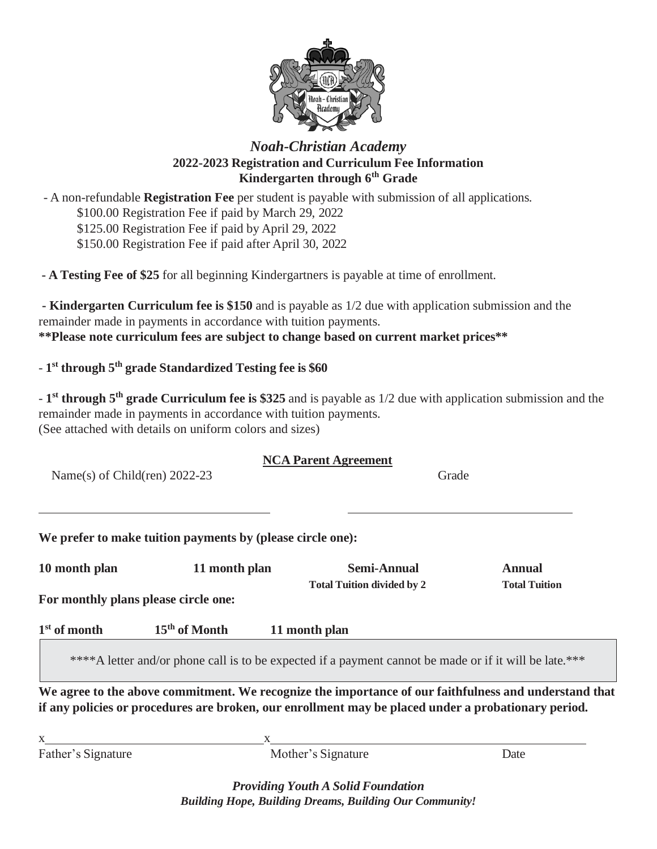

## *Noah-Christian Academy* **2022-2023 Registration and Curriculum Fee Information Kindergarten through 6th Grade**

- A non-refundable **Registration Fee** per student is payable with submission of all applications. \$100.00 Registration Fee if paid by March 29, 2022 \$125.00 Registration Fee if paid by April 29, 2022 \$150.00 Registration Fee if paid after April 30, 2022

**- A Testing Fee of \$25** for all beginning Kindergartners is payable at time of enrollment.

**- Kindergarten Curriculum fee is \$150** and is payable as 1/2 due with application submission and the remainder made in payments in accordance with tuition payments. **\*\*Please note curriculum fees are subject to change based on current market prices\*\***

## - **1 st through 5 th grade Standardized Testing fee is \$60**

- **1 st through 5 th grade Curriculum fee is \$325** and is payable as 1/2 due with application submission and the remainder made in payments in accordance with tuition payments. (See attached with details on uniform colors and sizes)

|                                 | <b>NCA Parent Agreement</b> |       |
|---------------------------------|-----------------------------|-------|
| Name(s) of Child(ren) $2022-23$ |                             | Grade |

**We prefer to make tuition payments by (please circle one):**

| 10 month plan                        | 11 month plan             | <b>Semi-Annual</b>                                                                                                                                                                                           | <b>Annual</b>        |
|--------------------------------------|---------------------------|--------------------------------------------------------------------------------------------------------------------------------------------------------------------------------------------------------------|----------------------|
| For monthly plans please circle one: |                           | <b>Total Tuition divided by 2</b>                                                                                                                                                                            | <b>Total Tuition</b> |
| $1st$ of month                       | 15 <sup>th</sup> of Month | 11 month plan                                                                                                                                                                                                |                      |
|                                      |                           | ****A letter and/or phone call is to be expected if a payment cannot be made or if it will be late.***                                                                                                       |                      |
|                                      |                           | We agree to the above commitment. We recognize the importance of our faithfulness and understand that<br>if any policies or procedures are broken, our enrollment may be placed under a probationary period. |                      |
|                                      |                           |                                                                                                                                                                                                              |                      |
| Father's Signature                   |                           | Mother's Signature                                                                                                                                                                                           | Date                 |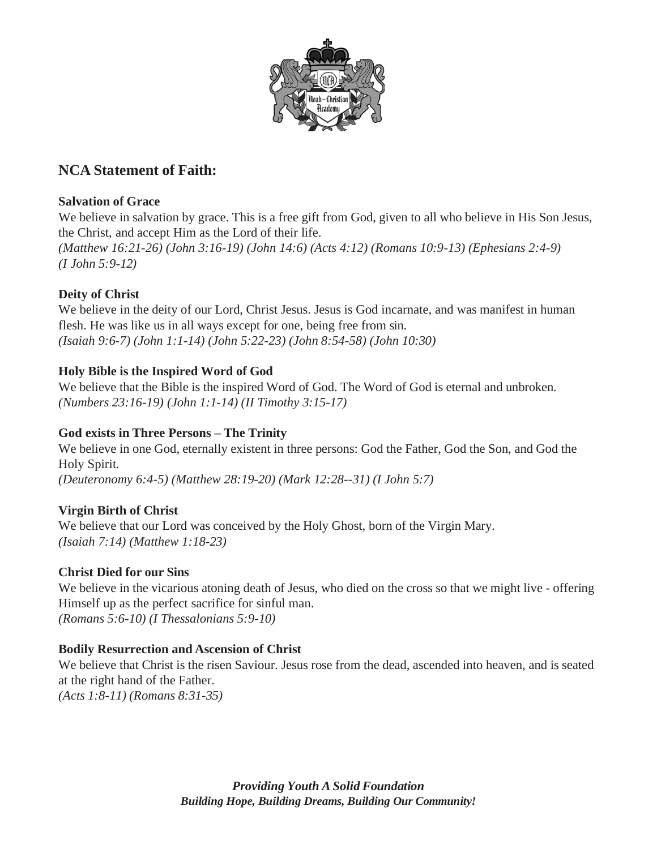

# **NCA Statement of Faith:**

## **Salvation of Grace**

We believe in salvation by grace. This is a free gift from God, given to all who believe in His Son Jesus, the Christ, and accept Him as the Lord of their life.

*(Matthew 16:21-26) (John 3:16-19) (John 14:6) (Acts 4:12) (Romans 10:9-13) (Ephesians 2:4-9) (I John 5:9-12)*

## **Deity of Christ**

We believe in the deity of our Lord, Christ Jesus. Jesus is God incarnate, and was manifest in human flesh. He was like us in all ways except for one, being free from sin. *(Isaiah 9:6-7) (John 1:1-14) (John 5:22-23) (John 8:54-58) (John 10:30)*

## **Holy Bible is the Inspired Word of God**

We believe that the Bible is the inspired Word of God. The Word of God is eternal and unbroken. *(Numbers 23:16-19) (John 1:1-14) (II Timothy 3:15-17)*

## **God exists in Three Persons – The Trinity**

We believe in one God, eternally existent in three persons: God the Father, God the Son, and God the Holy Spirit. *(Deuteronomy 6:4-5) (Matthew 28:19-20) (Mark 12:28--31) (I John 5:7)*

## **Virgin Birth of Christ**

We believe that our Lord was conceived by the Holy Ghost, born of the Virgin Mary. *(Isaiah 7:14) (Matthew 1:18-23)*

#### **Christ Died for our Sins**

We believe in the vicarious atoning death of Jesus, who died on the cross so that we might live - offering Himself up as the perfect sacrifice for sinful man. *(Romans 5:6-10) (I Thessalonians 5:9-10)*

#### **Bodily Resurrection and Ascension of Christ**

We believe that Christ is the risen Saviour. Jesus rose from the dead, ascended into heaven, and is seated at the right hand of the Father.

*(Acts 1:8-11) (Romans 8:31-35)*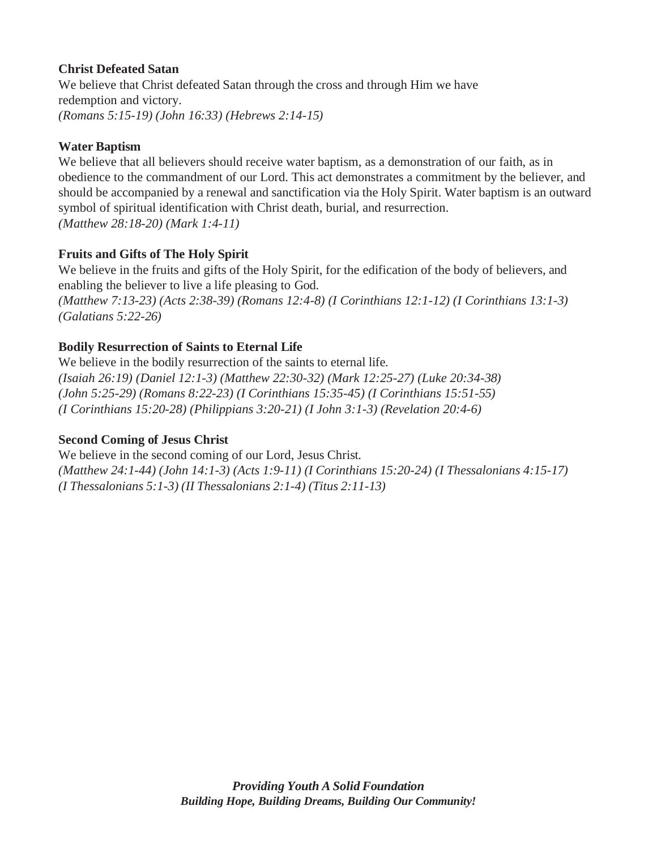## **Christ Defeated Satan**

We believe that Christ defeated Satan through the cross and through Him we have redemption and victory. *(Romans 5:15-19) (John 16:33) (Hebrews 2:14-15)*

## **Water Baptism**

We believe that all believers should receive water baptism, as a demonstration of our faith, as in obedience to the commandment of our Lord. This act demonstrates a commitment by the believer, and should be accompanied by a renewal and sanctification via the Holy Spirit. Water baptism is an outward symbol of spiritual identification with Christ death, burial, and resurrection. *(Matthew 28:18-20) (Mark 1:4-11)*

## **Fruits and Gifts of The Holy Spirit**

We believe in the fruits and gifts of the Holy Spirit, for the edification of the body of believers, and enabling the believer to live a life pleasing to God. *(Matthew 7:13-23) (Acts 2:38-39) (Romans 12:4-8) (I Corinthians 12:1-12) (I Corinthians 13:1-3) (Galatians 5:22-26)*

## **Bodily Resurrection of Saints to Eternal Life**

We believe in the bodily resurrection of the saints to eternal life. *(Isaiah 26:19) (Daniel 12:1-3) (Matthew 22:30-32) (Mark 12:25-27) (Luke 20:34-38) (John 5:25-29) (Romans 8:22-23) (I Corinthians 15:35-45) (I Corinthians 15:51-55) (I Corinthians 15:20-28) (Philippians 3:20-21) (I John 3:1-3) (Revelation 20:4-6)*

#### **Second Coming of Jesus Christ**

We believe in the second coming of our Lord, Jesus Christ. *(Matthew 24:1-44) (John 14:1-3) (Acts 1:9-11) (I Corinthians 15:20-24) (I Thessalonians 4:15-17) (I Thessalonians 5:1-3) (II Thessalonians 2:1-4) (Titus 2:11-13)*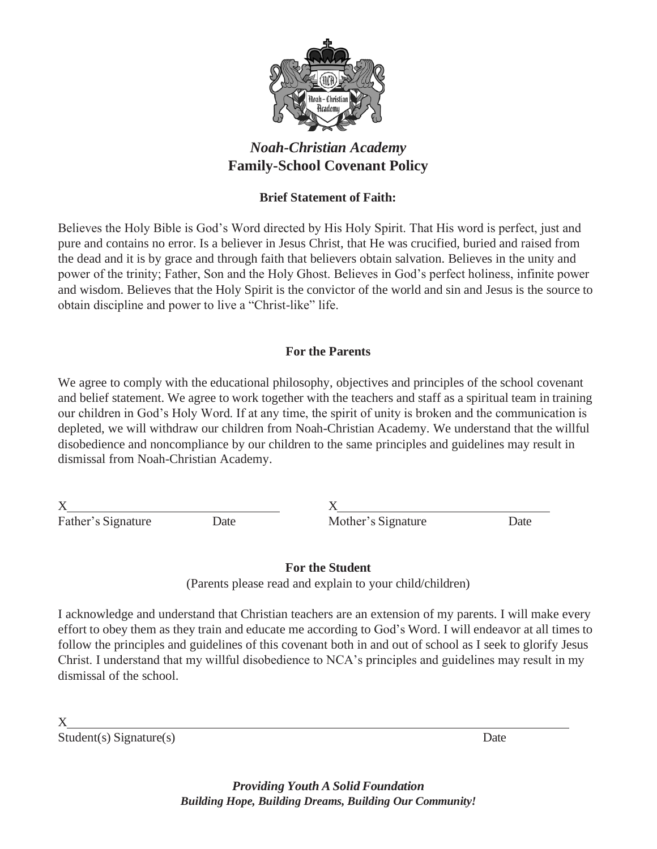

# *Noah-Christian Academy* **Family-School Covenant Policy**

## **Brief Statement of Faith:**

Believes the Holy Bible is God's Word directed by His Holy Spirit. That His word is perfect, just and pure and contains no error. Is a believer in Jesus Christ, that He was crucified, buried and raised from the dead and it is by grace and through faith that believers obtain salvation. Believes in the unity and power of the trinity; Father, Son and the Holy Ghost. Believes in God's perfect holiness, infinite power and wisdom. Believes that the Holy Spirit is the convictor of the world and sin and Jesus is the source to obtain discipline and power to live a "Christ-like" life.

## **For the Parents**

We agree to comply with the educational philosophy, objectives and principles of the school covenant and belief statement. We agree to work together with the teachers and staff as a spiritual team in training our children in God's Holy Word. If at any time, the spirit of unity is broken and the communication is depleted, we will withdraw our children from Noah-Christian Academy. We understand that the willful disobedience and noncompliance by our children to the same principles and guidelines may result in dismissal from Noah-Christian Academy.

 $X$  X

Father's Signature Date Date Mother's Signature Date

**For the Student**

(Parents please read and explain to your child/children)

I acknowledge and understand that Christian teachers are an extension of my parents. I will make every effort to obey them as they train and educate me according to God's Word. I will endeavor at all times to follow the principles and guidelines of this covenant both in and out of school as I seek to glorify Jesus Christ. I understand that my willful disobedience to NCA's principles and guidelines may result in my dismissal of the school.

X

Student(s) Signature(s) Date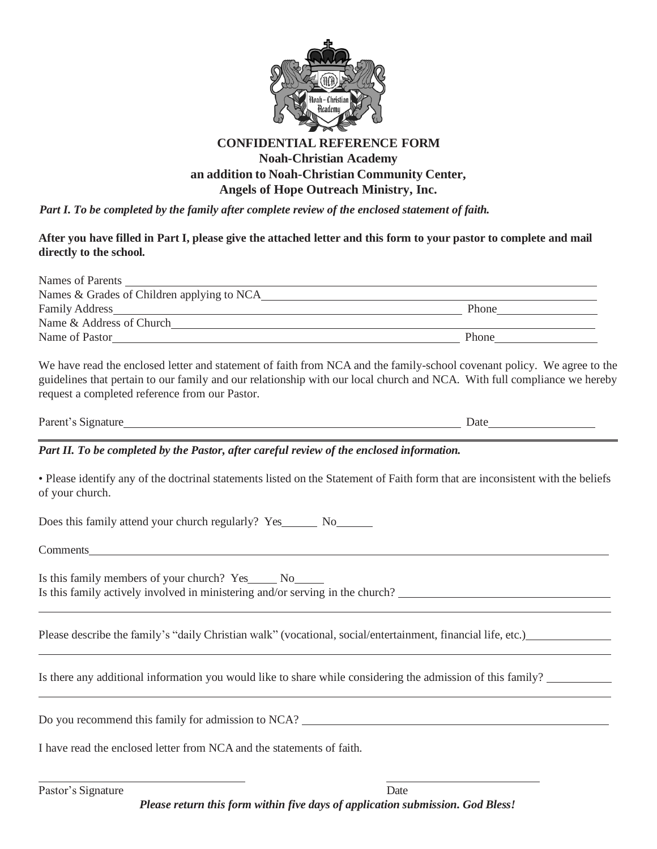

#### **CONFIDENTIAL REFERENCE FORM**

#### **Noah-Christian Academy an addition to Noah-Christian Community Center, Angels of Hope Outreach Ministry, Inc.**

*Part I. To be completed by the family after complete review of the enclosed statement of faith.*

#### After you have filled in Part I, please give the attached letter and this form to your pastor to complete and mail **directly to the school.**

| Names of Parents                            |              |
|---------------------------------------------|--------------|
| Names & Grades of Children applying to NCA_ |              |
| <b>Family Address</b>                       | Phone        |
| Name & Address of Church                    |              |
| Name of Pastor                              | <b>Phone</b> |

We have read the enclosed letter and statement of faith from NCA and the family-school covenant policy. We agree to the guidelines that pertain to our family and our relationship with our local church and NCA. With full compliance we hereby request a completed reference from our Pastor.

Parent's Signature Date

#### *Part II. To be completed by the Pastor, after careful review of the enclosed information.*

• Please identify any of the doctrinal statements listed on the Statement of Faith form that are inconsistent with the beliefs of your church.

Does this family attend your church regularly? Yes No

Comments

Is this family members of your church? Yes No Is this family actively involved in ministering and/or serving in the church?

Please describe the family's "daily Christian walk" (vocational, social/entertainment, financial life, etc.)

Is there any additional information you would like to share while considering the admission of this family?

Do you recommend this family for admission to NCA?

I have read the enclosed letter from NCA and the statements of faith.

Pastor's Signature Date *Please return this form within five days of application submission. God Bless!*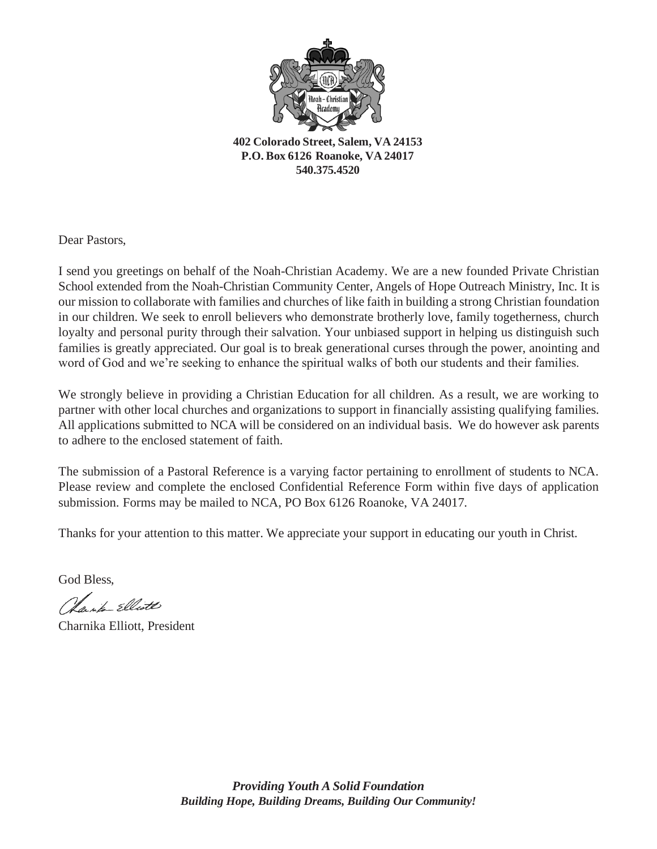

**402 Colorado Street, Salem, VA 24153 P.O. Box 6126 Roanoke, VA 24017 540.375.4520**

Dear Pastors,

I send you greetings on behalf of the Noah-Christian Academy. We are a new founded Private Christian School extended from the Noah-Christian Community Center, Angels of Hope Outreach Ministry, Inc. It is our mission to collaborate with families and churches of like faith in building a strong Christian foundation in our children. We seek to enroll believers who demonstrate brotherly love, family togetherness, church loyalty and personal purity through their salvation. Your unbiased support in helping us distinguish such families is greatly appreciated. Our goal is to break generational curses through the power, anointing and word of God and we're seeking to enhance the spiritual walks of both our students and their families.

We strongly believe in providing a Christian Education for all children. As a result, we are working to partner with other local churches and organizations to support in financially assisting qualifying families. All applications submitted to NCA will be considered on an individual basis. We do however ask parents to adhere to the enclosed statement of faith.

The submission of a Pastoral Reference is a varying factor pertaining to enrollment of students to NCA. Please review and complete the enclosed Confidential Reference Form within five days of application submission. Forms may be mailed to NCA, PO Box 6126 Roanoke, VA 24017.

Thanks for your attention to this matter. We appreciate your support in educating our youth in Christ.

God Bless,

Clarita Elliote

Charnika Elliott, President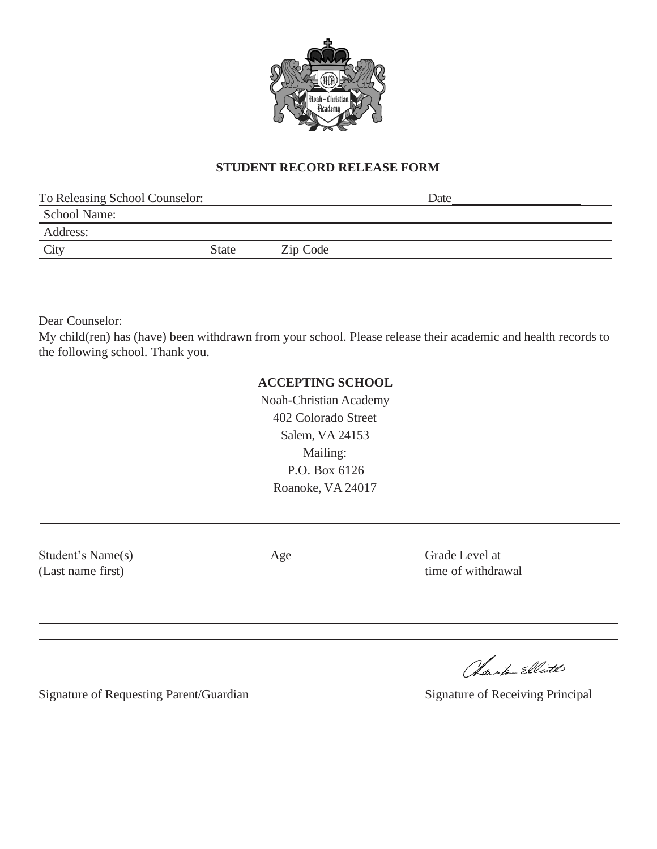

## **STUDENT RECORD RELEASE FORM**

| To Releasing School Counselor: |              |          | Date |  |
|--------------------------------|--------------|----------|------|--|
| <b>School Name:</b>            |              |          |      |  |
| Address:                       |              |          |      |  |
| City                           | <b>State</b> | Zip Code |      |  |
|                                |              |          |      |  |

Dear Counselor:

My child(ren) has (have) been withdrawn from your school. Please release their academic and health records to the following school. Thank you.

#### **ACCEPTING SCHOOL**

Noah-Christian Academy 402 Colorado Street Salem, VA 24153 Mailing: P.O. Box 6126 Roanoke, VA 24017

Student's Name(s) (Last name first)

Age Grade Level at time of withdrawal

Signature of Requesting Parent/Guardian Signature of Receiving Principal

Charla Elliott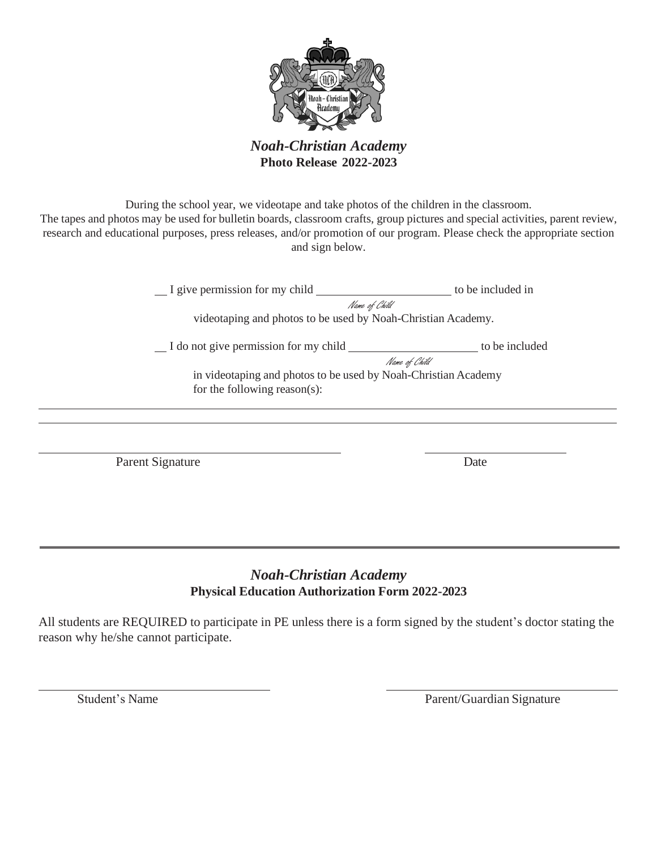

*Noah-Christian Academy* **Photo Release 2022-2023**

During the school year, we videotape and take photos of the children in the classroom. The tapes and photos may be used for bulletin boards, classroom crafts, group pictures and special activities, parent review, research and educational purposes, press releases, and/or promotion of our program. Please check the appropriate section and sign below.

> I give permission for my child \_\_\_\_\_\_\_\_\_\_\_\_\_\_\_\_\_\_\_\_\_\_\_\_ to be included in Name of Child

videotaping and photos to be used by Noah-Christian Academy.

I do not give permission for my child to be included

Name of Child in videotaping and photos to be used by Noah-Christian Academy for the following reason(s):

Parent Signature Date

## *Noah-Christian Academy* **Physical Education Authorization Form 2022-2023**

All students are REQUIRED to participate in PE unless there is a form signed by the student's doctor stating the reason why he/she cannot participate.

Student's Name Parent/Guardian Signature